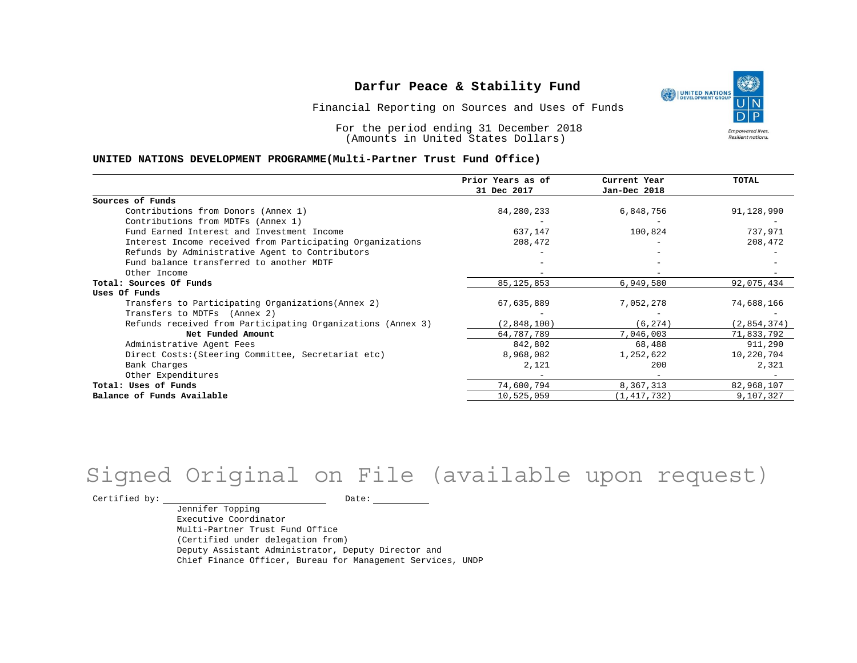Financial Reporting on Sources and Uses of Funds

For the period ending 31 December 2018 (Amounts in United States Dollars)

#### **UNITED NATIONS DEVELOPMENT PROGRAMME(Multi-Partner Trust Fund Office)**

|                                                             | Prior Years as of | Current Year  | TOTAL       |
|-------------------------------------------------------------|-------------------|---------------|-------------|
|                                                             | 31 Dec 2017       | Jan-Dec 2018  |             |
| Sources of Funds                                            |                   |               |             |
| Contributions from Donors (Annex 1)                         | 84,280,233        | 6,848,756     | 91,128,990  |
| Contributions from MDTFs (Annex 1)                          |                   |               |             |
| Fund Earned Interest and Investment Income                  | 637,147           | 100,824       | 737,971     |
| Interest Income received from Participating Organizations   | 208,472           |               | 208,472     |
| Refunds by Administrative Agent to Contributors             |                   |               |             |
| Fund balance transferred to another MDTF                    |                   |               |             |
| Other Income                                                |                   |               |             |
| Total: Sources Of Funds                                     | 85, 125, 853      | 6,949,580     | 92,075,434  |
| Uses Of Funds                                               |                   |               |             |
| Transfers to Participating Organizations (Annex 2)          | 67,635,889        | 7,052,278     | 74,688,166  |
| Transfers to MDTFs (Annex 2)                                |                   |               |             |
| Refunds received from Participating Organizations (Annex 3) | (2,848,100)       | (6, 274)      | (2,854,374) |
| Net Funded Amount                                           | 64,787,789        | 7,046,003     | 71,833,792  |
| Administrative Agent Fees                                   | 842,802           | 68,488        | 911,290     |
| Direct Costs: (Steering Committee, Secretariat etc)         | 8,968,082         | 1,252,622     | 10,220,704  |
| Bank Charges                                                | 2,121             | 200           | 2,321       |
| Other Expenditures                                          |                   |               |             |
| Total: Uses of Funds                                        | 74,600,794        | 8,367,313     | 82,968,107  |
| Balance of Funds Available                                  | 10,525,059        | (1, 417, 732) | 9,107,327   |

## Signed Original on File (available upon request)

Certified by: Date:

Jennifer Topping Executive Coordinator Multi-Partner Trust Fund Office (Certified under delegation from) Deputy Assistant Administrator, Deputy Director and Chief Finance Officer, Bureau for Management Services, UNDP

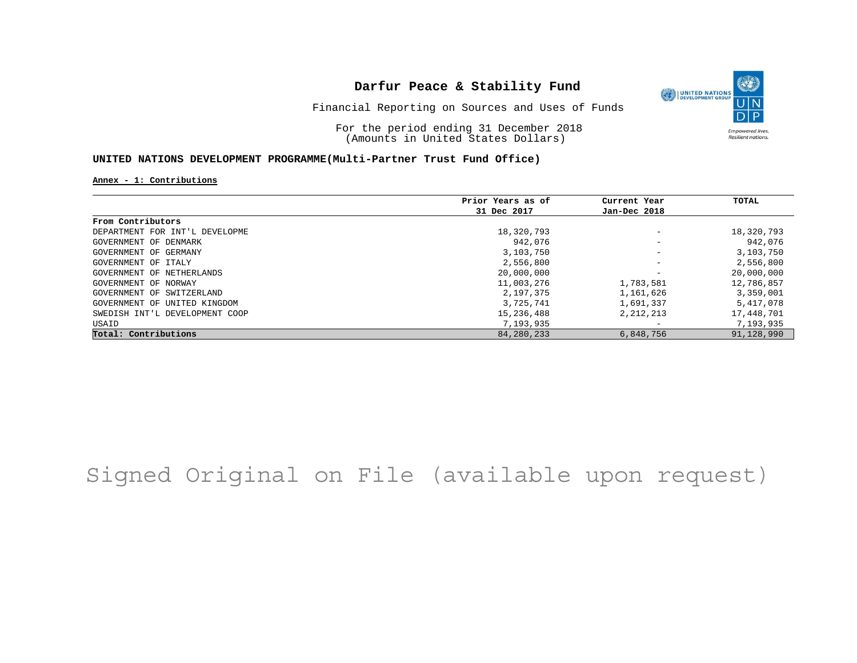

Financial Reporting on Sources and Uses of Funds

For the period ending 31 December 2018 (Amounts in United States Dollars)

#### **UNITED NATIONS DEVELOPMENT PROGRAMME(Multi-Partner Trust Fund Office)**

**Annex - 1: Contributions**

|                                | Prior Years as of | Current Year             | TOTAL      |
|--------------------------------|-------------------|--------------------------|------------|
|                                | 31 Dec 2017       | Jan-Dec 2018             |            |
| From Contributors              |                   |                          |            |
| DEPARTMENT FOR INT'L DEVELOPME | 18,320,793        | $\overline{\phantom{a}}$ | 18,320,793 |
| GOVERNMENT OF DENMARK          | 942,076           | $\overline{\phantom{a}}$ | 942,076    |
| GOVERNMENT OF GERMANY          | 3,103,750         | $\overline{\phantom{a}}$ | 3,103,750  |
| GOVERNMENT OF ITALY            | 2,556,800         | $\overline{\phantom{a}}$ | 2,556,800  |
| GOVERNMENT OF NETHERLANDS      | 20,000,000        | $\overline{\phantom{a}}$ | 20,000,000 |
| GOVERNMENT OF NORWAY           | 11,003,276        | 1,783,581                | 12,786,857 |
| GOVERNMENT OF SWITZERLAND      | 2,197,375         | 1,161,626                | 3,359,001  |
| GOVERNMENT OF UNITED KINGDOM   | 3,725,741         | 1,691,337                | 5,417,078  |
| SWEDISH INT'L DEVELOPMENT COOP | 15,236,488        | 2, 212, 213              | 17,448,701 |
| USAID                          | 7,193,935         | $\overline{\phantom{0}}$ | 7,193,935  |
| Total: Contributions           | 84,280,233        | 6,848,756                | 91,128,990 |

## Signed Original on File (available upon request)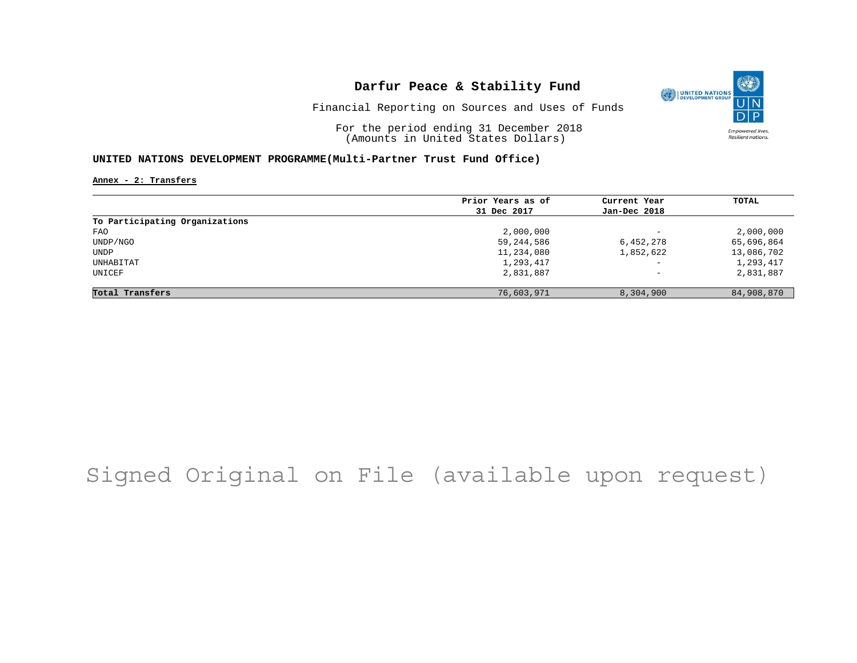

Financial Reporting on Sources and Uses of Funds

For the period ending 31 December 2018 (Amounts in United States Dollars)

#### **UNITED NATIONS DEVELOPMENT PROGRAMME(Multi-Partner Trust Fund Office)**

**Annex - 2: Transfers**

|                                | Prior Years as of | Current Year             | TOTAL      |
|--------------------------------|-------------------|--------------------------|------------|
|                                | 31 Dec 2017       | Jan-Dec 2018             |            |
| To Participating Organizations |                   |                          |            |
| FAO                            | 2,000,000         | $\overline{\phantom{0}}$ | 2,000,000  |
| UNDP/NGO                       | 59,244,586        | 6,452,278                | 65,696,864 |
| UNDP                           | 11,234,080        | 1,852,622                | 13,086,702 |
| UNHABITAT                      | 1,293,417         | $\qquad \qquad -$        | 1,293,417  |
| UNICEF                         | 2,831,887         | $\qquad \qquad -$        | 2,831,887  |
| Total Transfers                | 76,603,971        | 8,304,900                | 84,908,870 |

## Signed Original on File (available upon request)